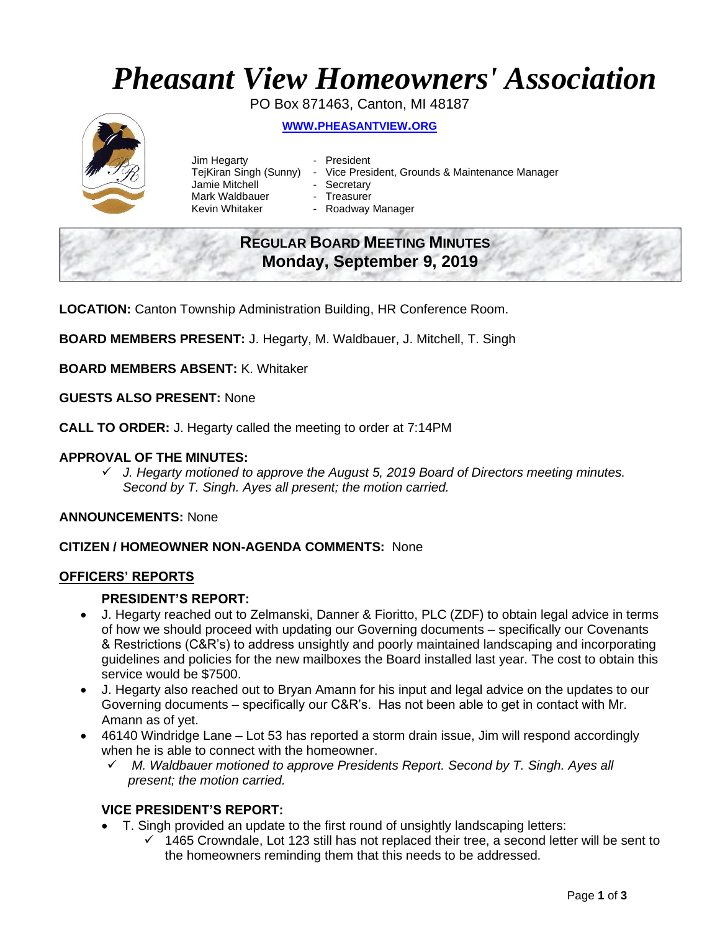# *Pheasant View Homeowners' Association*

PO Box 871463, Canton, MI 48187

# **WWW.[PHEASANTVIEW](http://www.pheasantview.org/).ORG**



- Jim Hegarty  **President** Jamie Mitchell - Secretary Mark Waldbauer **- Treasurer**<br>Kevin Whitaker **- Roadway** 
	-
- TejKiran Singh (Sunny) Vice President, Grounds & Maintenance Manager
	-
	- - Roadway Manager

# **REGULAR BOARD MEETING MINUTES Monday, September 9, 2019**

**LOCATION:** Canton Township Administration Building, HR Conference Room.

**BOARD MEMBERS PRESENT:** J. Hegarty, M. Waldbauer, J. Mitchell, T. Singh

**BOARD MEMBERS ABSENT:** K. Whitaker

**GUESTS ALSO PRESENT:** None

**CALL TO ORDER:** J. Hegarty called the meeting to order at 7:14PM

### **APPROVAL OF THE MINUTES:**

✓ *J. Hegarty motioned to approve the August 5, 2019 Board of Directors meeting minutes. Second by T. Singh. Ayes all present; the motion carried.*

**ANNOUNCEMENTS:** None

#### **CITIZEN / HOMEOWNER NON-AGENDA COMMENTS:** None

#### **OFFICERS' REPORTS**

#### **PRESIDENT'S REPORT:**

- J. Hegarty reached out to Zelmanski, Danner & Fioritto, PLC (ZDF) to obtain legal advice in terms of how we should proceed with updating our Governing documents – specifically our Covenants & Restrictions (C&R's) to address unsightly and poorly maintained landscaping and incorporating guidelines and policies for the new mailboxes the Board installed last year. The cost to obtain this service would be \$7500.
- J. Hegarty also reached out to Bryan Amann for his input and legal advice on the updates to our Governing documents – specifically our C&R's. Has not been able to get in contact with Mr. Amann as of yet.
- 46140 Windridge Lane Lot 53 has reported a storm drain issue, Jim will respond accordingly when he is able to connect with the homeowner.
	- ✓ *M. Waldbauer motioned to approve Presidents Report. Second by T. Singh. Ayes all present; the motion carried.*

#### **VICE PRESIDENT'S REPORT:**

- T. Singh provided an update to the first round of unsightly landscaping letters:
	- ✓ 1465 Crowndale, Lot 123 still has not replaced their tree, a second letter will be sent to the homeowners reminding them that this needs to be addressed.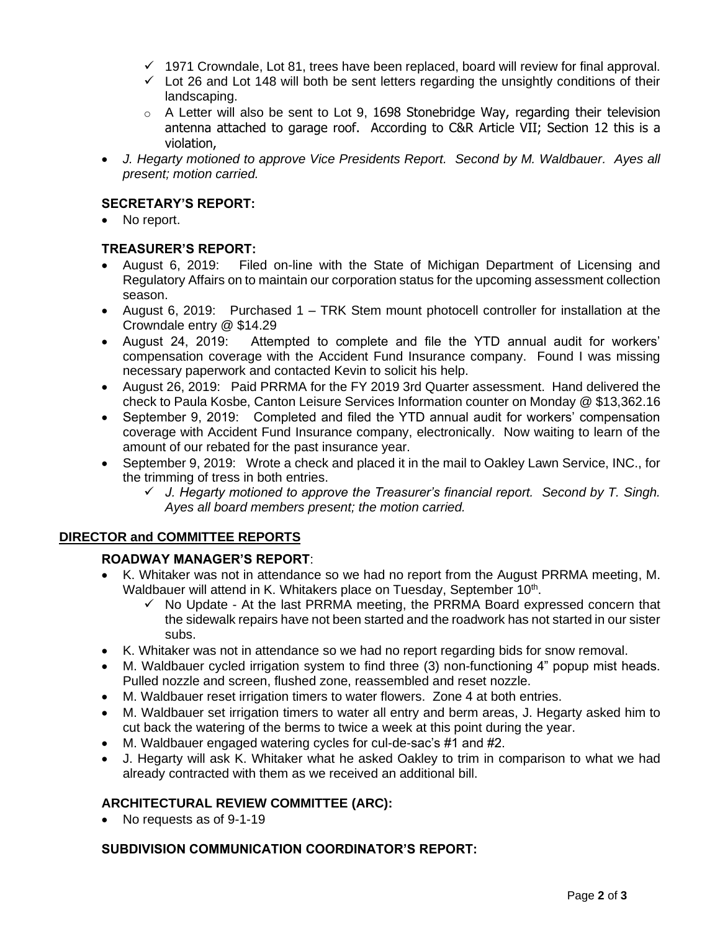- $\checkmark$  1971 Crowndale, Lot 81, trees have been replaced, board will review for final approval.
- $\checkmark$  Lot 26 and Lot 148 will both be sent letters regarding the unsightly conditions of their landscaping.
- $\circ$  A Letter will also be sent to Lot 9, 1698 Stonebridge Way, regarding their television antenna attached to garage roof. According to C&R Article VII; Section 12 this is a violation,
- *J. Hegarty motioned to approve Vice Presidents Report. Second by M. Waldbauer. Ayes all present; motion carried.*

# **SECRETARY'S REPORT:**

No report.

# **TREASURER'S REPORT:**

- August 6, 2019: Filed on-line with the State of Michigan Department of Licensing and Regulatory Affairs on to maintain our corporation status for the upcoming assessment collection season.
- August 6, 2019: Purchased 1 TRK Stem mount photocell controller for installation at the Crowndale entry @ \$14.29
- August 24, 2019: Attempted to complete and file the YTD annual audit for workers' compensation coverage with the Accident Fund Insurance company. Found I was missing necessary paperwork and contacted Kevin to solicit his help.
- August 26, 2019: Paid PRRMA for the FY 2019 3rd Quarter assessment. Hand delivered the check to Paula Kosbe, Canton Leisure Services Information counter on Monday @ \$13,362.16
- September 9, 2019: Completed and filed the YTD annual audit for workers' compensation coverage with Accident Fund Insurance company, electronically. Now waiting to learn of the amount of our rebated for the past insurance year.
- September 9, 2019: Wrote a check and placed it in the mail to Oakley Lawn Service, INC., for the trimming of tress in both entries.
	- ✓ *J. Hegarty motioned to approve the Treasurer's financial report. Second by T. Singh. Ayes all board members present; the motion carried.*

# **DIRECTOR and COMMITTEE REPORTS**

#### **ROADWAY MANAGER'S REPORT**:

- K. Whitaker was not in attendance so we had no report from the August PRRMA meeting, M. Waldbauer will attend in K. Whitakers place on Tuesday, September 10<sup>th</sup>.
	- $\checkmark$  No Update At the last PRRMA meeting, the PRRMA Board expressed concern that the sidewalk repairs have not been started and the roadwork has not started in our sister subs.
- K. Whitaker was not in attendance so we had no report regarding bids for snow removal.
- M. Waldbauer cycled irrigation system to find three (3) non-functioning 4" popup mist heads. Pulled nozzle and screen, flushed zone, reassembled and reset nozzle.
- M. Waldbauer reset irrigation timers to water flowers. Zone 4 at both entries.
- M. Waldbauer set irrigation timers to water all entry and berm areas, J. Hegarty asked him to cut back the watering of the berms to twice a week at this point during the year.
- M. Waldbauer engaged watering cycles for cul-de-sac's #1 and #2.
- J. Hegarty will ask K. Whitaker what he asked Oakley to trim in comparison to what we had already contracted with them as we received an additional bill.

# **ARCHITECTURAL REVIEW COMMITTEE (ARC):**

• No requests as of 9-1-19

# **SUBDIVISION COMMUNICATION COORDINATOR'S REPORT:**